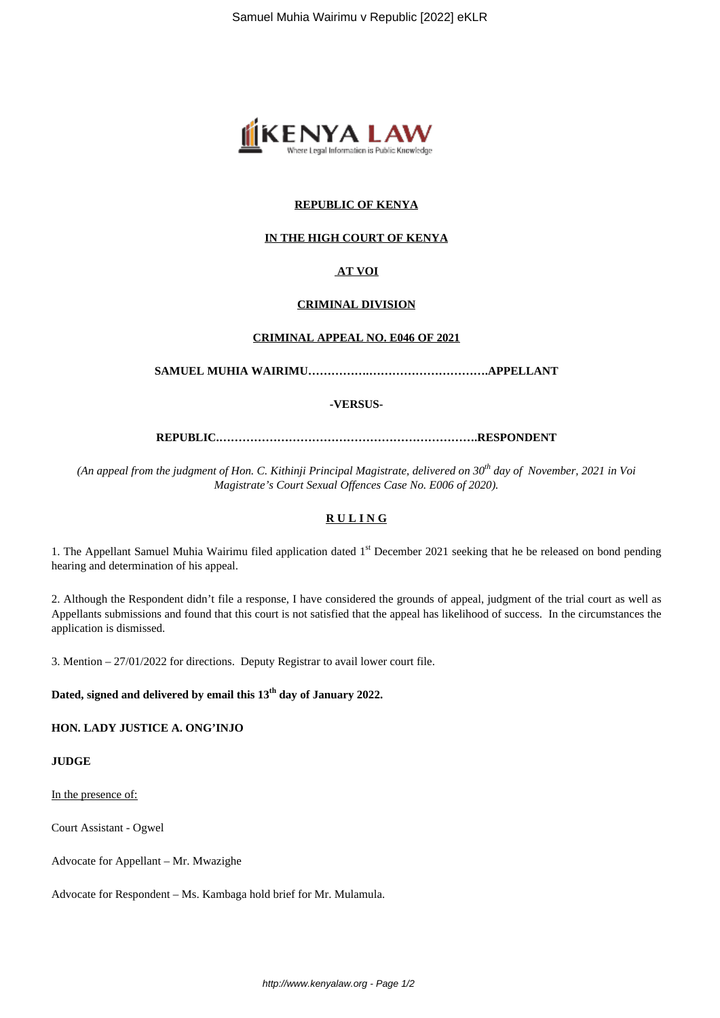

## **REPUBLIC OF KENYA**

### **IN THE HIGH COURT OF KENYA**

# **AT VOI**

#### **CRIMINAL DIVISION**

#### **CRIMINAL APPEAL NO. E046 OF 2021**

**SAMUEL MUHIA WAIRIMU…………….………………………….APPELLANT**

**-VERSUS-**

**REPUBLIC.………………………………………………………….RESPONDENT**

*(An appeal from the judgment of Hon. C. Kithinji Principal Magistrate, delivered on 30th day of November, 2021 in Voi Magistrate's Court Sexual Offences Case No. E006 of 2020).*

## **R U L I N G**

1. The Appellant Samuel Muhia Wairimu filed application dated 1<sup>st</sup> December 2021 seeking that he be released on bond pending hearing and determination of his appeal.

2. Although the Respondent didn't file a response, I have considered the grounds of appeal, judgment of the trial court as well as Appellants submissions and found that this court is not satisfied that the appeal has likelihood of success. In the circumstances the application is dismissed.

3. Mention – 27/01/2022 for directions. Deputy Registrar to avail lower court file.

**Dated, signed and delivered by email this 13th day of January 2022.**

**HON. LADY JUSTICE A. ONG'INJO**

### **JUDGE**

In the presence of:

Court Assistant - Ogwel

Advocate for Appellant – Mr. Mwazighe

Advocate for Respondent – Ms. Kambaga hold brief for Mr. Mulamula.